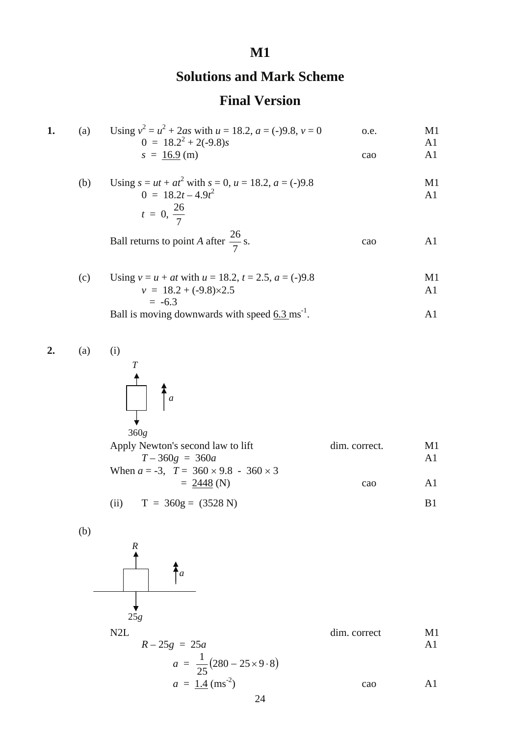## **M1**

## **Solutions and Mark Scheme**

## **Final Version**

| (a) | Using $v^2 = u^2 + 2as$ with $u = 18.2$ , $a = (-)9.8$ , $v = 0$<br>$0 = 18.2^2 + 2(-9.8)s$                     | o.e. | M1<br>A <sub>1</sub> |
|-----|-----------------------------------------------------------------------------------------------------------------|------|----------------------|
|     | $s = 16.9$ (m)                                                                                                  | cao  | Al                   |
| (b) | Using $s = ut + at^2$ with $s = 0$ , $u = 18.2$ , $a = (-)9.8$<br>$0 = 18.2t - 4.9t^2$<br>$t = 0, \frac{26}{7}$ |      | M1<br>A1             |
|     | Ball returns to point A after $\frac{26}{7}$ s.                                                                 | cao  | AT                   |

(c) Using 
$$
v = u + at
$$
 with  $u = 18.2$ ,  $t = 2.5$ ,  $a = (-)9.8$   
\n $v = 18.2 + (-9.8) \times 2.5$   
\n $= -6.3$ 

Ball is moving downwards with speed  $6.3 \text{ ms}^{-1}$ . A1

**2.** (a) (i)



| $\sim$ $\sim$ $\sim$                                |               |     |
|-----------------------------------------------------|---------------|-----|
| Apply Newton's second law to lift                   | dim. correct. | M1  |
| $T-360g = 360a$                                     |               | A1  |
| When $a = -3$ , $T = 360 \times 9.8 - 360 \times 3$ |               |     |
| $= 2448$ (N)                                        | cao           | A T |
|                                                     |               |     |

(ii) 
$$
T = 360g = (3528 \text{ N})
$$
 B1

(b)

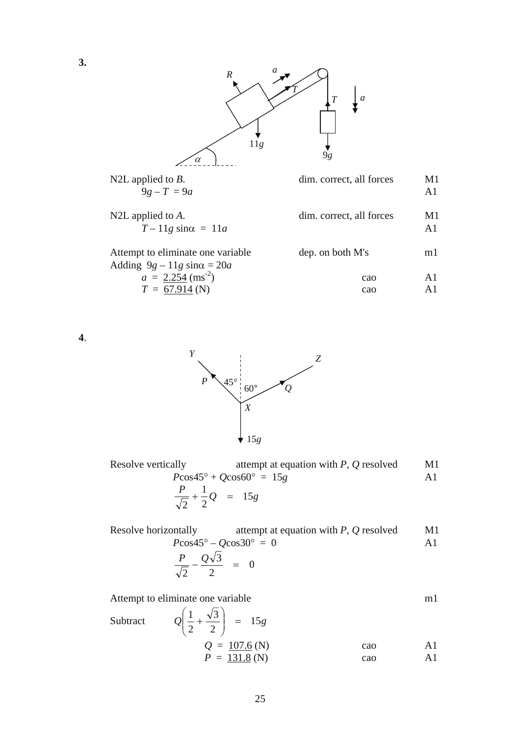

| N2L applied to $B$ .<br>$9g - T = 9a$                                    | dim. correct, all forces | M1<br>A <sub>1</sub> |
|--------------------------------------------------------------------------|--------------------------|----------------------|
| N2L applied to $A$ .<br>$T-11g \sin \alpha = 11a$                        | dim. correct, all forces | M1<br>A1             |
| Attempt to eliminate one variable<br>Adding $9g - 11g \sin \alpha = 20a$ | dep. on both M's         | ml                   |
| $a = 2.254 \text{ (ms}^2)$                                               | cao                      | A1                   |
| $T = 67.914$ (N)                                                         | cao                      | ΑĨ                   |

**4**.



| Resolve vertically                      | attempt at equation with $P$ , $Q$ resolved | M1 |
|-----------------------------------------|---------------------------------------------|----|
|                                         | $P\cos 45^\circ + Q\cos 60^\circ = 15g$     |    |
| $rac{P}{\sqrt{2}} + \frac{1}{2}Q = 15g$ |                                             |    |

 Resolve horizontally attempt at equation with *P, Q* resolved M1  $P\cos 45^\circ - Q\cos 30^\circ = 0$  A1  $\frac{1}{\sqrt{2}} - \frac{9}{2} = 0$ 2  $\frac{P}{\sqrt{2}} - \frac{Q\sqrt{3}}{2}$  =

Attempt to eliminate one variable m1

Subtract 
$$
Q\left(\frac{1}{2} + \frac{\sqrt{3}}{2}\right) = 15g
$$
  
\n $Q = \frac{107.6}{2} \text{ (N)}$  cao  
\n $P = \frac{131.8}{2} \text{ (N)}$  cao  
\nA1  
\nA2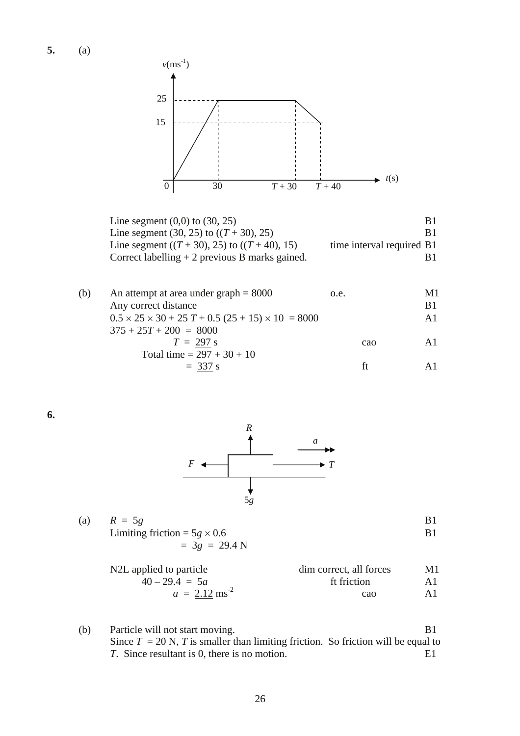**5.** (a)



Line segment  $(0,0)$  to  $(30, 25)$  B1 Line segment (30, 25) to  $((T + 30), 25)$  B1 Line segment  $((T + 30), 25)$  to  $((T + 40), 15)$  time interval required B1 Correct labelling  $+ 2$  previous B marks gained. B1

| (b) | An attempt at area under $graph = 8000$                           | o.e. |     | M1  |
|-----|-------------------------------------------------------------------|------|-----|-----|
|     | Any correct distance                                              |      |     | B1  |
|     | $0.5 \times 25 \times 30 + 25 T + 0.5 (25 + 15) \times 10 = 8000$ |      |     | A1  |
|     | $375 + 25T + 200 = 8000$                                          |      |     |     |
|     | $T = 297$ s                                                       |      | cao | A 1 |
|     | Total time = $297 + 30 + 10$                                      |      |     |     |
|     | $= 337$ s                                                         |      |     |     |
|     |                                                                   |      |     |     |

**6.** 



| (a) | $R = 5g$                            |  |
|-----|-------------------------------------|--|
|     | Limiting friction = $5g \times 0.6$ |  |
|     | $=$ 3g = 29.4 N                     |  |
|     |                                     |  |

| N2L applied to particle     | dim correct, all forces | M1 |
|-----------------------------|-------------------------|----|
| $40 - 29.4 = 5a$            | ft friction             |    |
| $a = 2.12$ ms <sup>-2</sup> | cao                     | A1 |

(b) Particle will not start moving. B1 Since  $T = 20$  N,  $T$  is smaller than limiting friction. So friction will be equal to *T*. Since resultant is 0, there is no motion. E1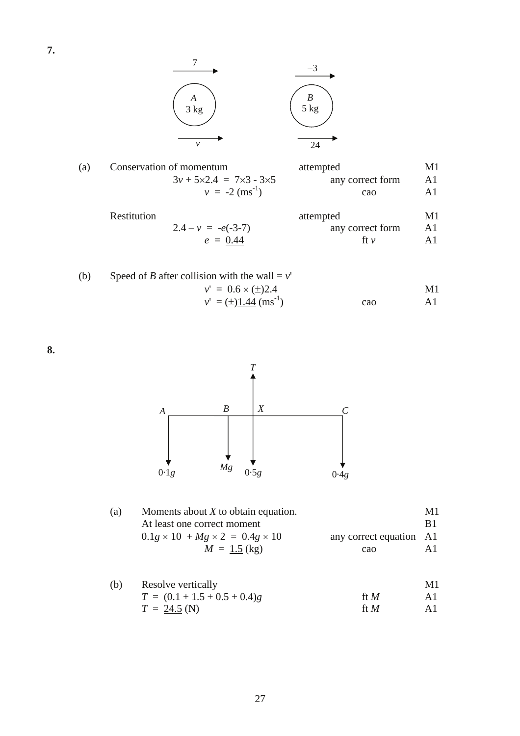**7.** 



| (a) | Conservation of momentum                      | attempted        | МT |
|-----|-----------------------------------------------|------------------|----|
|     | $3v + 5 \times 2.4 = 7 \times 3 - 3 \times 5$ | any correct form | Al |
|     | $v = -2$ (ms <sup>-1</sup> )                  | cao              | ΑĨ |
|     |                                               |                  |    |

| Restitution |                      | attempted        | M1 |
|-------------|----------------------|------------------|----|
|             | $2.4 - v = -e(-3-7)$ | any correct form | Al |
|             | $e = 0.44$           | tt v             |    |

| (b) | Speed of <i>B</i> after collision with the wall = $v'$ |     |    |
|-----|--------------------------------------------------------|-----|----|
|     | $v' = 0.6 \times (\pm)2.4$                             |     | M1 |
|     | $v' = (\pm)1.44$ (ms <sup>-1</sup> )                   | cao |    |

**8.** 



| (a) | Moments about $X$ to obtain equation.                 |                         | M1  |
|-----|-------------------------------------------------------|-------------------------|-----|
|     | At least one correct moment                           |                         | -R1 |
|     | $0.1g \times 10^2 + Mg \times 2^2 = 0.4g \times 10^2$ | any correct equation A1 |     |
|     | $M = 1.5$ (kg)                                        | cao                     | A 1 |

| (b) | Resolve vertically             |        |     |
|-----|--------------------------------|--------|-----|
|     | $T = (0.1 + 1.5 + 0.5 + 0.4)g$ | ft $M$ | A 1 |
|     | $T = 24.5$ (N)                 | ft $M$ | A1  |